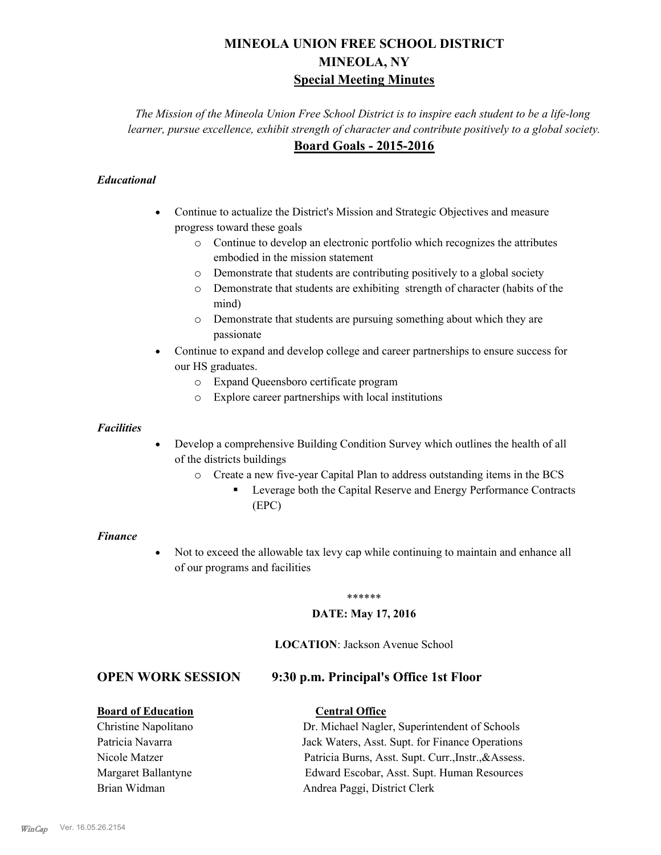# **MINEOLA UNION FREE SCHOOL DISTRICT MINEOLA, NY Special Meeting Minutes**

*The Mission of the Mineola Union Free School District is to inspire each student to be a life-long learner, pursue excellence, exhibit strength of character and contribute positively to a global society.* **Board Goals - 2015-2016**

#### *Educational*

- · Continue to actualize the District's Mission and Strategic Objectives and measure progress toward these goals
	- o Continue to develop an electronic portfolio which recognizes the attributes embodied in the mission statement
	- o Demonstrate that students are contributing positively to a global society
	- o Demonstrate that students are exhibiting strength of character (habits of the mind)
	- o Demonstrate that students are pursuing something about which they are passionate
- Continue to expand and develop college and career partnerships to ensure success for our HS graduates.
	- o Expand Queensboro certificate program
	- o Explore career partnerships with local institutions

#### *Facilities*

- Develop a comprehensive Building Condition Survey which outlines the health of all of the districts buildings
	- o Create a new five-year Capital Plan to address outstanding items in the BCS
		- § Leverage both the Capital Reserve and Energy Performance Contracts (EPC)

#### *Finance*

• Not to exceed the allowable tax levy cap while continuing to maintain and enhance all of our programs and facilities

#### \*\*\*\*\*\*

#### **DATE: May 17, 2016**

#### **LOCATION**: Jackson Avenue School

#### **OPEN WORK SESSION 9:30 p.m. Principal's Office 1st Floor**

# **Board of Education Central Office**

| <b>BOATU OI EQUEATION</b> | Central Office                                       |
|---------------------------|------------------------------------------------------|
| Christine Napolitano      | Dr. Michael Nagler, Superintendent of Schools        |
| Patricia Navarra          | Jack Waters, Asst. Supt. for Finance Operations      |
| Nicole Matzer             | Patricia Burns, Asst. Supt. Curr., Instr., & Assess. |
| Margaret Ballantyne       | Edward Escobar, Asst. Supt. Human Resources          |
| Brian Widman              | Andrea Paggi, District Clerk                         |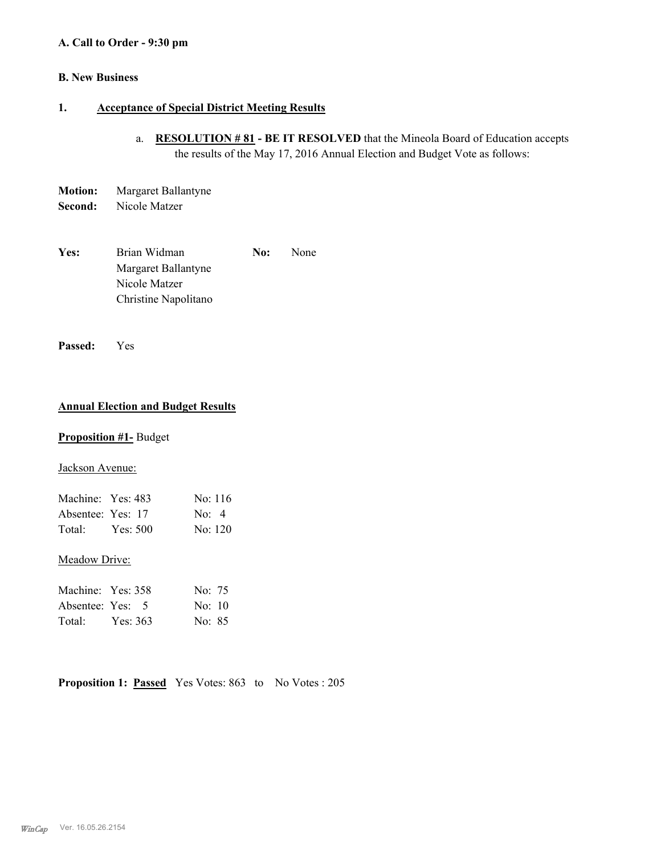#### **A. Call to Order - 9:30 pm**

#### **B. New Business**

#### **1. Acceptance of Special District Meeting Results**

- a. **RESOLUTION # 81 BE IT RESOLVED** that the Mineola Board of Education accepts the results of the May 17, 2016 Annual Election and Budget Vote as follows:
- **Motion:** Margaret Ballantyne
- **Second:** Nicole Matzer
- Yes: Brian Widman **No:** None Margaret Ballantyne Nicole Matzer Christine Napolitano

**Passed:** Yes

#### **Annual Election and Budget Results**

#### **Proposition #1-** Budget

#### Jackson Avenue:

| Machine: Yes: 483 |          | No: 116              |
|-------------------|----------|----------------------|
| Absentee: Yes: 17 |          | $\text{No:} \quad 4$ |
| Total:            | Yes: 500 | No: 120              |

#### Meadow Drive:

| Machine: Yes: 358 |          | No: 75             |
|-------------------|----------|--------------------|
| Absentee: Yes: 5  |          | $\text{No: } 10$   |
| Total:            | Yes: 363 | No <sup>3</sup> 85 |

**Proposition 1: Passed** Yes Votes: 863 to No Votes : 205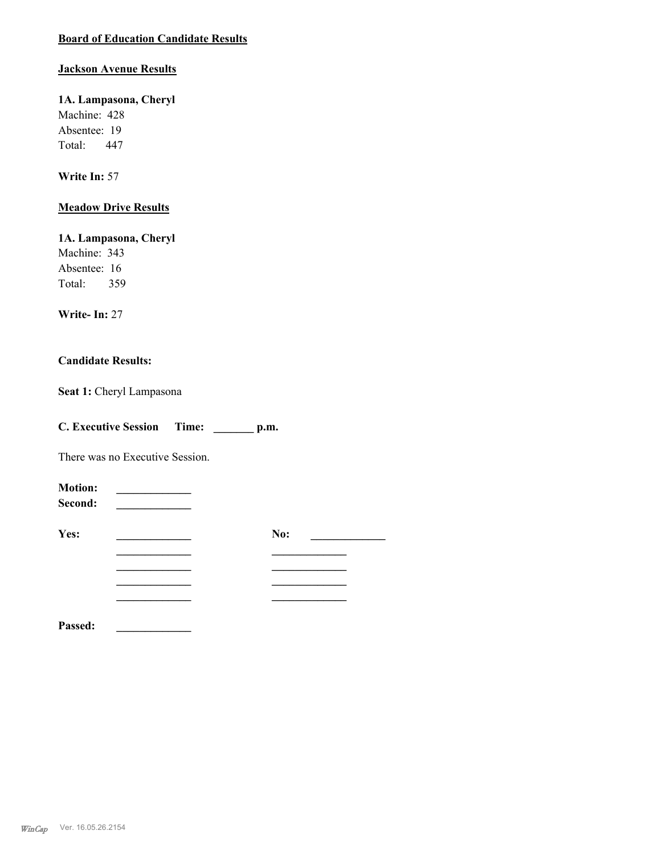## **Board of Education Candidate Results**

#### **Jackson Avenue Results**

### **1A. Lampasona, Cheryl**

Machine: 428 Absentee: 19 Total: 447

#### **Write In:** 57

## **Meadow Drive Results**

**1A. Lampasona, Cheryl** Machine: 343 Absentee: 16 Total: 359

#### **Write- In:** 27

#### **Candidate Results:**

Seat 1: Cheryl Lampasona

| <b>C. Executive Session</b> | Time: | p.m. |
|-----------------------------|-------|------|
|                             |       |      |

There was no Executive Session.

| <b>Motion:</b><br>Second: |     |  |
|---------------------------|-----|--|
| Yes:                      | No: |  |
|                           |     |  |
|                           |     |  |
|                           |     |  |
| Passed:                   |     |  |